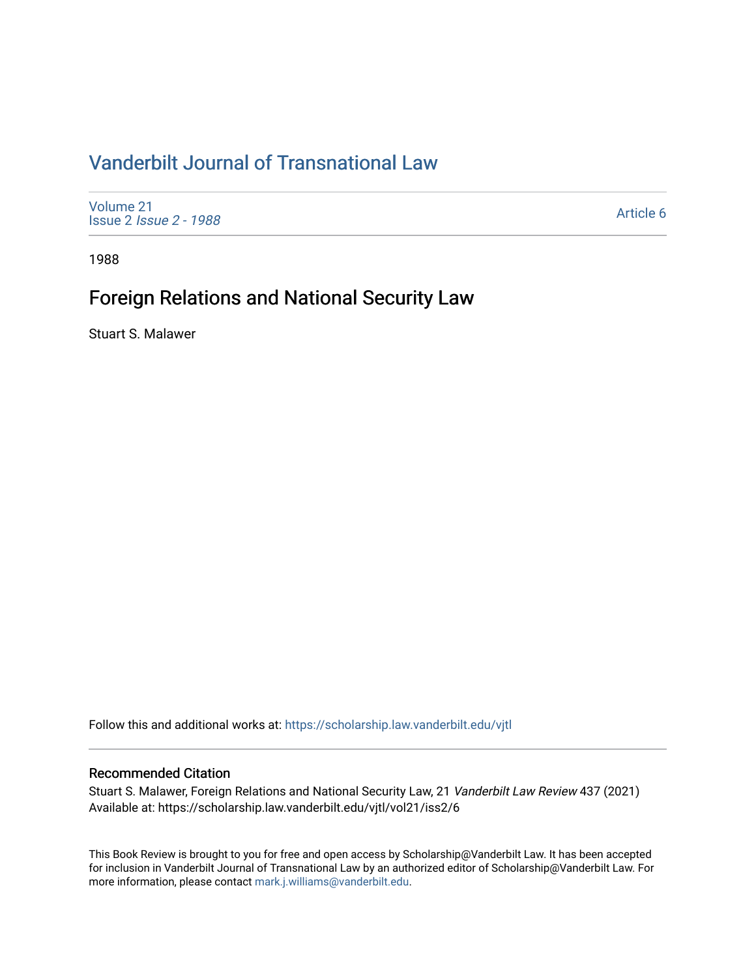# [Vanderbilt Journal of Transnational Law](https://scholarship.law.vanderbilt.edu/vjtl)

[Volume 21](https://scholarship.law.vanderbilt.edu/vjtl/vol21) Issue 2 [Issue 2 - 1988](https://scholarship.law.vanderbilt.edu/vjtl/vol21/iss2)

[Article 6](https://scholarship.law.vanderbilt.edu/vjtl/vol21/iss2/6) 

1988

## Foreign Relations and National Security Law

Stuart S. Malawer

Follow this and additional works at: [https://scholarship.law.vanderbilt.edu/vjtl](https://scholarship.law.vanderbilt.edu/vjtl?utm_source=scholarship.law.vanderbilt.edu%2Fvjtl%2Fvol21%2Fiss2%2F6&utm_medium=PDF&utm_campaign=PDFCoverPages) 

### Recommended Citation

Stuart S. Malawer, Foreign Relations and National Security Law, 21 Vanderbilt Law Review 437 (2021) Available at: https://scholarship.law.vanderbilt.edu/vjtl/vol21/iss2/6

This Book Review is brought to you for free and open access by Scholarship@Vanderbilt Law. It has been accepted for inclusion in Vanderbilt Journal of Transnational Law by an authorized editor of Scholarship@Vanderbilt Law. For more information, please contact [mark.j.williams@vanderbilt.edu](mailto:mark.j.williams@vanderbilt.edu).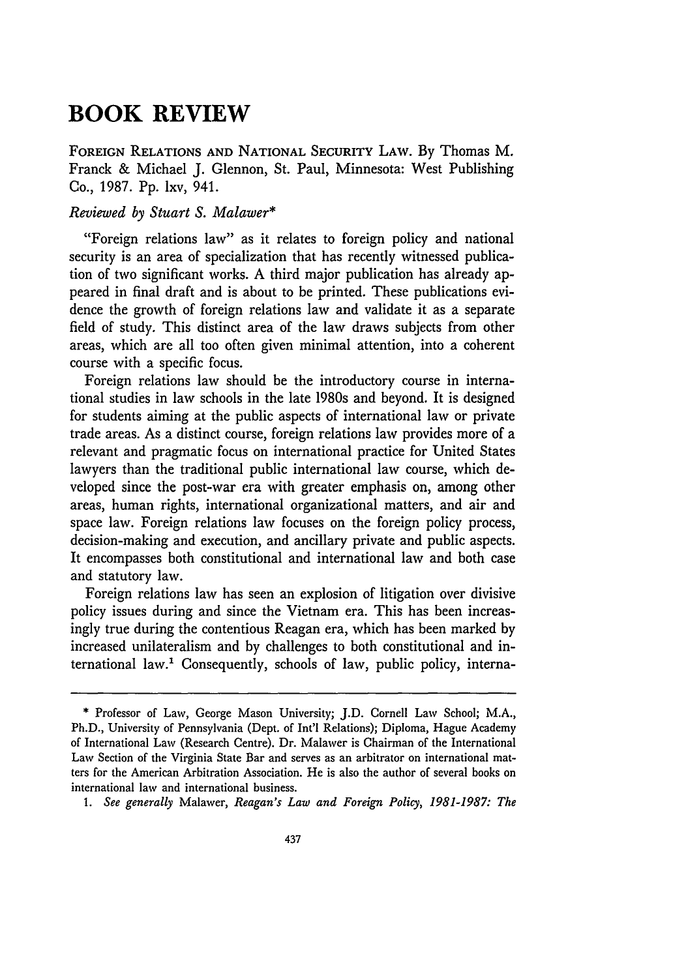## **BOOK REVIEW**

**FOREIGN** RELATIONS **AND** NATIONAL SECURITY LAW. **By** Thomas M. Franck & Michael J. Glennon, St. Paul, Minnesota: West Publishing Co., 1987. **Pp.** lxv, 941.

#### *Reviewed by Stuart S. Malawer\**

"Foreign relations law" as it relates to foreign policy and national security is an area of specialization that has recently witnessed publication of two significant works. A third major publication has already appeared in final draft and is about to be printed. These publications evidence the growth of foreign relations law and validate it as a separate field of study. This distinct area of the law draws subjects from other areas, which are all too often given minimal attention, into a coherent course with a specific focus.

Foreign relations law should be the introductory course in international studies in law schools in the late 1980s and beyond. It is designed for students aiming at the public aspects of international law or private trade areas. As a distinct course, foreign relations law provides more of a relevant and pragmatic focus on international practice for United States lawyers than the traditional public international law course, which developed since the post-war era with greater emphasis on, among other areas, human rights, international organizational matters, and air and space law. Foreign relations law focuses on the foreign policy process, decision-making and execution, and ancillary private and public aspects. It encompasses both constitutional and international law and both case and statutory law.

Foreign relations law has seen an explosion of litigation over divisive policy issues during and since the Vietnam era. This has been increasingly true during the contentious Reagan era, which has been marked by increased unilateralism and by challenges to both constitutional and international law.' Consequently, schools of law, public policy, interna-

<sup>\*</sup> Professor of Law, George Mason University; J.D. Cornell Law School; M.A., Ph.D., University of Pennsylvania (Dept. of Int'l Relations); Diploma, Hague Academy of International Law (Research Centre). Dr. Malawer is Chairman of the International Law Section of the Virginia State Bar and serves as an arbitrator on international matters for the American Arbitration Association. He is also the author of several books on international law and international business.

*<sup>1.</sup> See generally* Malawer, *Reagan's Law and Foreign Policy, 1981-1987: The*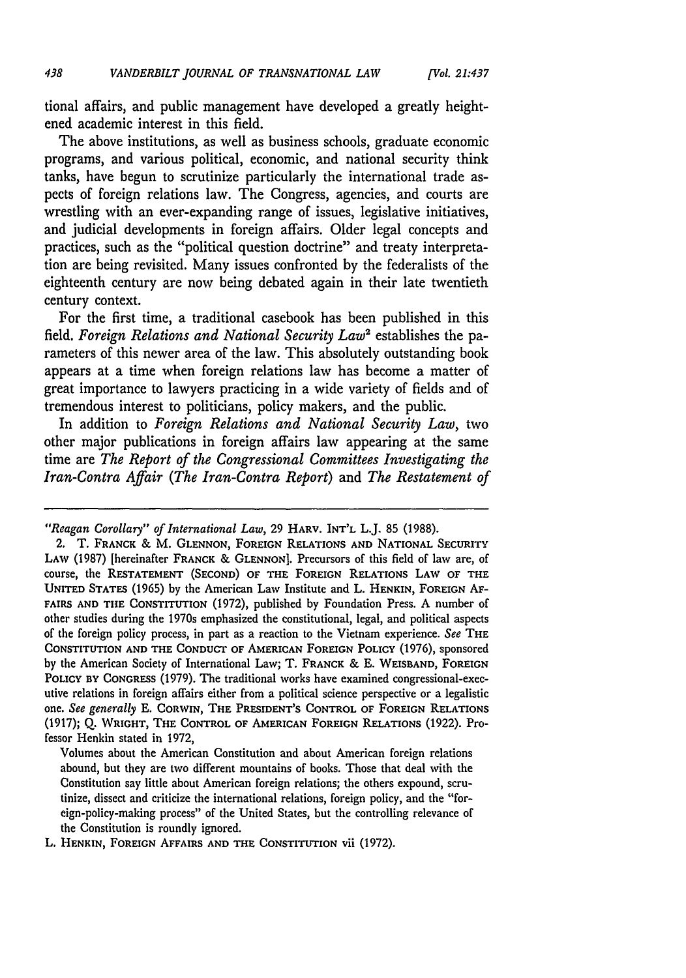tional affairs, and public management have developed a greatly heightened academic interest in this field.

The above institutions, as well as business schools, graduate economic programs, and various political, economic, and national security think tanks, have begun to scrutinize particularly the international trade aspects of foreign relations law. The Congress, agencies, and courts are wrestling with an ever-expanding range of issues, legislative initiatives, and judicial developments in foreign affairs. Older legal concepts and practices, such as the "political question doctrine" and treaty interpretation are being revisited. Many issues confronted by the federalists of the eighteenth century are now being debated again in their late twentieth century context.

For the first time, a traditional casebook has been published in this field, *Foreign Relations and National Security Law2* establishes the parameters of this newer area of the law. This absolutely outstanding book appears at a time when foreign relations law has become a matter of great importance to lawyers practicing in a wide variety of fields and of tremendous interest to politicians, policy makers, and the public.

In addition to *Foreign Relations and National Security Law,* two other major publications in foreign affairs law appearing at the same time are *The Report of the Congressional Committees Investigating the Iran-Contra Affair (The Iran-Contra Report)* and *The Restatement of*

Volumes about the American Constitution and about American foreign relations abound, but they are two different mountains of books. Those that deal with the Constitution say little about American foreign relations; the others expound, scrutinize, dissect and criticize the international relations, foreign policy, and the "foreign-policy-making process" of the United States, but the controlling relevance of the Constitution is roundly ignored.

L. HENKIN, FOREIGN AFFAIRS **AND** THE **CONSTITUTION** vii **(1972).**

*<sup>&</sup>quot;Reagan Corollary" of International Law,* 29 **HARV.** INT'L L.J. 85 (1988).

<sup>2.</sup> T. **FRANCK** & M. **GLENNON, FOREIGN** RELATIONS **AND** NATIONAL SECURITY **LAW (1987)** [hereinafter FRANCK & GLENNON]. Precursors of this field of law are, of course, the RESTATEMENT **(SECOND)** OF THE FOREIGN RELATIONS LAW OF THE UNITED **STATES (1965) by** the American Law Institute and L. **HENKIN,** FOREIGN **AF-**FAIRS **AND** THE CONSTITUTION **(1972),** published **by** Foundation Press. **A** number of other studies during the 1970s emphasized the constitutional, legal, and political aspects of the foreign policy process, in part as a reaction to the Vietnam experience. *See* THE CONSTITUTION **AND** THE CONDUCT OF AMERICAN **FOREIGN** POLICY (1976), sponsored **by** the American Society of International Law; T. FRANCK & **E. WEISBAND, FOREIGN** POLICY **BY CONGRESS** (1979). The traditional works have examined congressional-executive relations in foreign affairs either from a political science perspective or a legalistic one. *See generally* **E.** CORWIN, THE PRESIDENT'S CONTROL OF FOREIGN **RELATIONS** (1917); **Q.** WRIGHT, THE CONTROL OF AMERICAN FOREIGN **RELATIONS** (1922). Professor Henkin stated in 1972,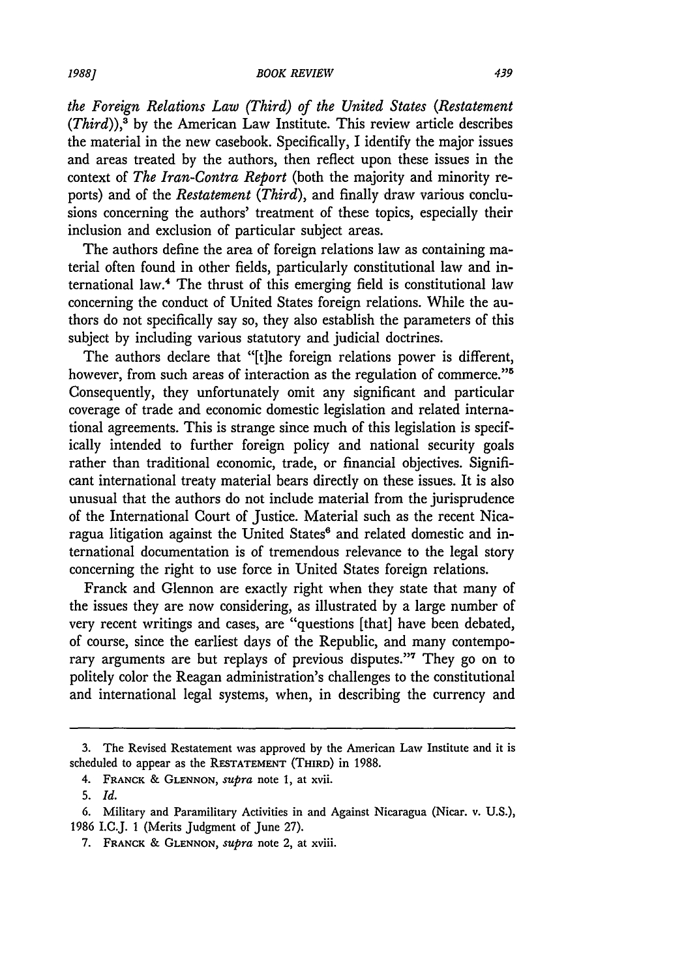*the Foreign Relations Law (Third) of the United States (Restatement*  $(Third)$ ),<sup>3</sup> by the American Law Institute. This review article describes the material in the new casebook. Specifically, I identify the major issues and areas treated by the authors, then reflect upon these issues in the context of *The Iran-Contra Report* (both the majority and minority reports) and of the *Restatement (Third)*, and finally draw various conclusions concerning the authors' treatment of these topics, especially their inclusion and exclusion of particular subject areas.

The authors define the area of foreign relations law as containing material often found in other fields, particularly constitutional law and international law." The thrust of this emerging field is constitutional law concerning the conduct of United States foreign relations. While the authors do not specifically say so, they also establish the parameters of this subject by including various statutory and judicial doctrines.

The authors declare that "[t]he foreign relations power is different, however, from such areas of interaction as the regulation of commerce."<sup>5</sup> Consequently, they unfortunately omit any significant and particular coverage of trade and economic domestic legislation and related international agreements. This is strange since much of this legislation is specifically intended to further foreign policy and national security goals rather than traditional economic, trade, or financial objectives. Significant international treaty material bears directly on these issues. It is also unusual that the authors do not include material from the jurisprudence of the International Court of Justice. Material such as the recent Nicaragua litigation against the United States' and related domestic and international documentation is of tremendous relevance to the legal story concerning the right to use force in United States foreign relations.

Franck and Glennon are exactly right when they state that many of the issues they are now considering, as illustrated by a large number of very recent writings and cases, are "questions [that] have been debated, of course, since the earliest days of the Republic, and many contemporary arguments are but replays of previous disputes."<sup>7</sup> They go on to politely color the Reagan administration's challenges to the constitutional and international legal systems, when, in describing the currency and

<sup>3.</sup> The Revised Restatement was approved by the American Law Institute and it is scheduled to appear as the RESTATEMENT (THIRD) in 1988.

<sup>4.</sup> FRANCK & **GLENNON,** *supra* note 1, at xvii.

<sup>5.</sup> *Id.*

<sup>6.</sup> Military and Paramilitary Activities in and Against Nicaragua (Nicar. v. U.S.), 1986 I.C.J. **1** (Merits Judgment of June 27).

<sup>7.</sup> FRANCK & **GLENNON,** *supra* note 2, at xviii.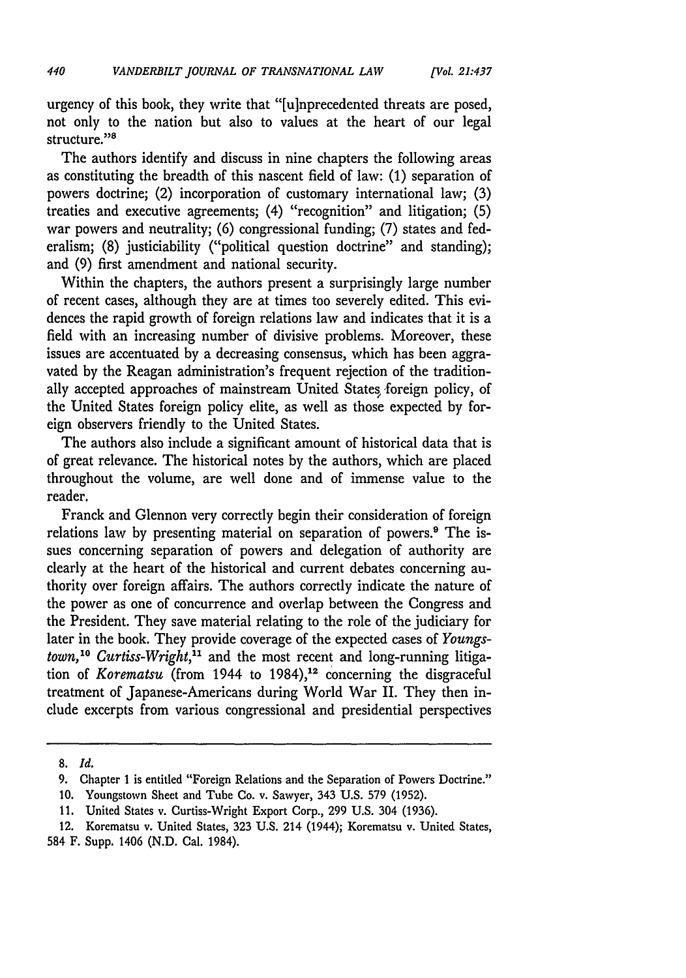urgency of this book, they write that "[u]nprecedented threats are posed, not only to the nation but also to values at the heart of our legal structure."<sup>8</sup>

The authors identify and discuss in nine chapters the following areas as constituting the breadth of this nascent field of law: **(1)** separation of powers doctrine; (2) incorporation of customary international law; (3) treaties and executive agreements; (4) "recognition" and litigation; (5) war powers and neutrality; (6) congressional funding; (7) states and federalism; (8) justiciability ("political question doctrine" and standing); and (9) first amendment and national security.

Within the chapters, the authors present a surprisingly large number of recent cases, although they are at times too severely edited. This evidences the rapid growth of foreign relations law and indicates that it is a field with an increasing number of divisive problems. Moreover, these issues are accentuated by a decreasing consensus, which has been aggravated by the Reagan administration's frequent rejection of the traditionally accepted approaches of mainstream United States foreign policy, of the United States foreign policy elite, as well as those expected by foreign observers friendly to the United States.

The authors also include a significant amount of historical data that is of great relevance. The historical notes by the authors, which are placed throughout the volume, are well done and of immense value to the reader.

Franck and Glennon very correctly begin their consideration of foreign relations law by presenting material on separation of powers.<sup>9</sup> The issues concerning separation of powers and delegation of authority are clearly at the heart of the historical and current debates concerning authority over foreign affairs. The authors correctly indicate the nature of the power as one of concurrence and overlap between the Congress and the President. They save material relating to the role of the judiciary for later in the book. They provide coverage of the expected cases of *Youngstown,'0 Curtiss-Wright,"* and the most recent and long-running litigation of *Korematsu* (from 1944 to 1984),<sup>12</sup> concerning the disgraceful treatment of Japanese-Americans during World War II. They then include excerpts from various congressional and presidential perspectives

**<sup>8.</sup>** *Id.*

<sup>9.</sup> Chapter 1 is entitled "Foreign Relations and the Separation of Powers Doctrine."

*<sup>10.</sup>* Youngstown Sheet and Tube Co. v. Sawyer, 343 U.S. **579** (1952).

<sup>11.</sup> United States v. Curtiss-Wright Export Corp., 299 U.S. 304 (1936).

<sup>12.</sup> Korematsu v. United States, 323 U.S. 214 (1944); Korematsu v. United States, 584 F. Supp. 1406 (N.D. Cal. 1984).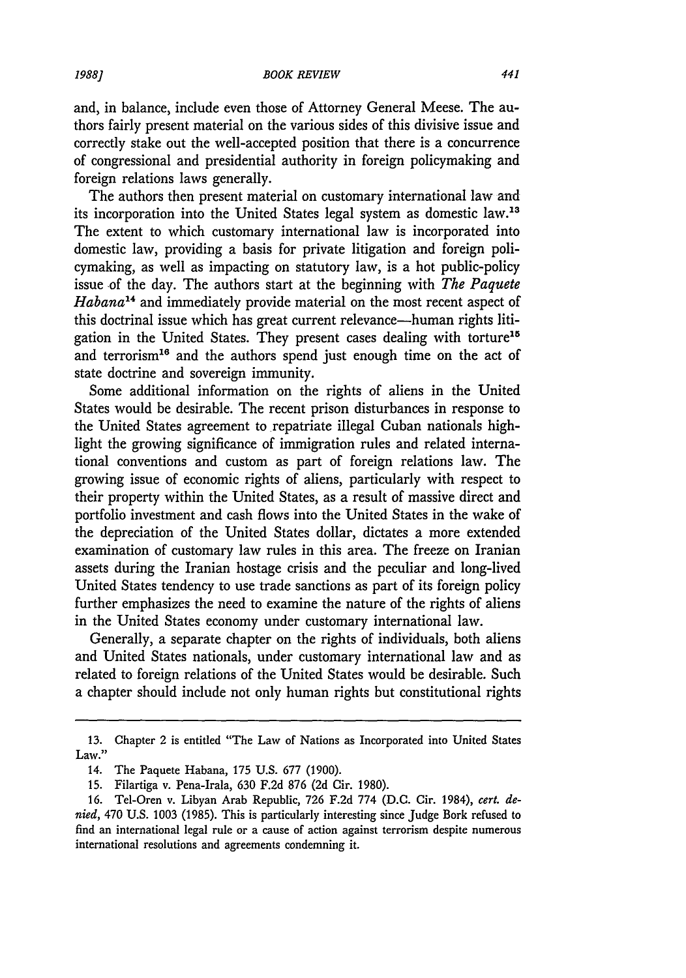and, in balance, include even those of Attorney General Meese. The authors fairly present material on the various sides of this divisive issue and correctly stake out the well-accepted position that there is a concurrence of congressional and presidential authority in foreign policymaking and foreign relations laws generally.

The authors then present material on customary international law and its incorporation into the United States legal system as domestic law.<sup>13</sup> The extent to which customary international law is incorporated into domestic law, providing a basis for private litigation and foreign policymaking, as well as impacting on statutory law, is a hot public-policy issue of the day. The authors start at the beginning with *The Paquete Habana1 <sup>4</sup>*and immediately provide material on the most recent aspect of this doctrinal issue which has great current relevance-human rights litigation in the United States. They present cases dealing with torture<sup>15</sup> and terrorism<sup>16</sup> and the authors spend just enough time on the act of state doctrine and sovereign immunity.

Some additional information on the rights of aliens in the United States would be desirable. The recent prison disturbances in response to the United States agreement to repatriate illegal Cuban nationals highlight the growing significance of immigration rules and related international conventions and custom as part of foreign relations law. The growing issue of economic rights of aliens, particularly with respect to their property within the United States, as a result of massive direct and portfolio investment and cash flows into the United States in the wake of the depreciation of the United States dollar, dictates a more extended examination of customary law rules in this area. The freeze on Iranian assets during the Iranian hostage crisis and the peculiar and long-lived United States tendency to use trade sanctions as part of its foreign policy further emphasizes the need to examine the nature of the rights of aliens in the United States economy under customary international law.

Generally, a separate chapter on the rights of individuals, both aliens and United States nationals, under customary international law and as related to foreign relations of the United States would be desirable. Such a chapter should include not only human rights but constitutional rights

<sup>13.</sup> Chapter 2 is entitled "The Law of Nations as Incorporated into United States Law."

<sup>14.</sup> The Paquete Habana, 175 U.S. 677 (1900).

<sup>15.</sup> Filartiga v. Pena-Irala, 630 F.2d 876 (2d Cir. 1980).

<sup>16.</sup> Tel-Oren v. Libyan Arab Republic, 726 F.2d 774 (D.C. Cir. 1984), *cert. denied,* 470 U.S. 1003 (1985). This is particularly interesting since Judge Bork refused to find an international legal rule or a cause of action against terrorism despite numerous international resolutions and agreements condemning it.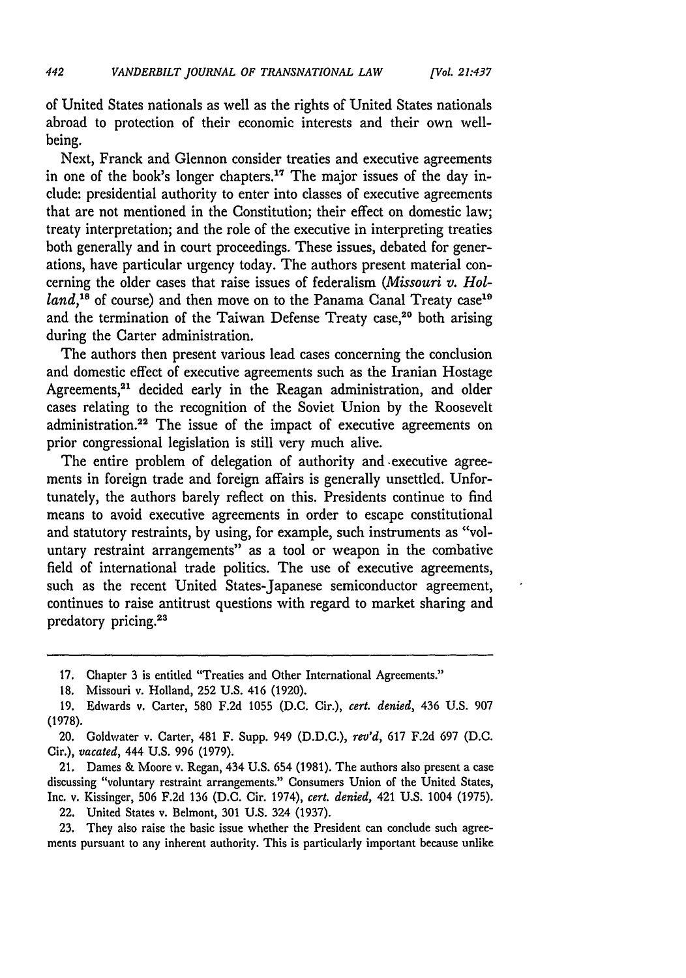of United States nationals as well as the rights of United States nationals abroad to protection of their economic interests and their own wellbeing.

Next, Franck and Glennon consider treaties and executive agreements in one of the book's longer chapters.<sup>17</sup> The major issues of the day include: presidential authority to enter into classes of executive agreements that are not mentioned in the Constitution; their effect on domestic law; treaty interpretation; and the role of the executive in interpreting treaties both generally and in court proceedings. These issues, debated for generations, have particular urgency today. The authors present material concerning the older cases that raise issues of federalism *(Missouri v. Holland*,<sup>18</sup> of course) and then move on to the Panama Canal Treaty case<sup>19</sup> and the termination of the Taiwan Defense Treaty case,<sup>20</sup> both arising during the Carter administration.

The authors then present various lead cases concerning the conclusion and domestic effect of executive agreements such as the Iranian Hostage Agreements,<sup>21</sup> decided early in the Reagan administration, and older cases relating to the recognition of the Soviet Union **by** the Roosevelt administration.22 The issue of the impact of executive agreements on prior congressional legislation is still very much alive.

The entire problem of delegation of authority and .executive agreements in foreign trade and foreign affairs is generally unsettled. Unfortunately, the authors barely reflect on this. Presidents continue to find means to avoid executive agreements in order to escape constitutional and statutory restraints, **by** using, for example, such instruments as "voluntary restraint arrangements" as a tool or weapon in the combative field of international trade politics. The use of executive agreements, such as the recent United States-Japanese semiconductor agreement, continues to raise antitrust questions with regard to market sharing and predatory pricing.<sup>23</sup>

**21.** Dames **&** Moore v. Regan, 434 **U.S.** 654 **(1981).** The authors also present a case discussing "voluntary restraint arrangements." Consumers Union of the United States, Inc. v. Kissinger, **506 F.2d 136 (D.C.** Cir. 1974), *cert. denied,* 421 **U.S.** 1004 **(1975).**

22. United States v. Belmont, **301 U.S.** 324 **(1937).**

**23.** They also raise the basic issue whether the President can conclude such agreements pursuant to any inherent authority. This is particularly important because unlike

**<sup>17.</sup>** Chapter **3** is entitled "Treaties and Other International Agreements."

*<sup>18.</sup>* Missouri v. Holland, **252 U.S.** 416 **(1920).**

**<sup>19.</sup>** Edwards v. Carter, **580 F.2d 1055 (D.C.** Cir.), *cert. denied,* 436 **U.S. 907 (1978).**

<sup>20.</sup> Goldwater v. Carter, 481 F. Supp. 949 **(D.D.C.),** *rev'd,* **617 F.2d 697 (D.C.** Cir.), *vacated,* 444 **U.S. 996 (1979).**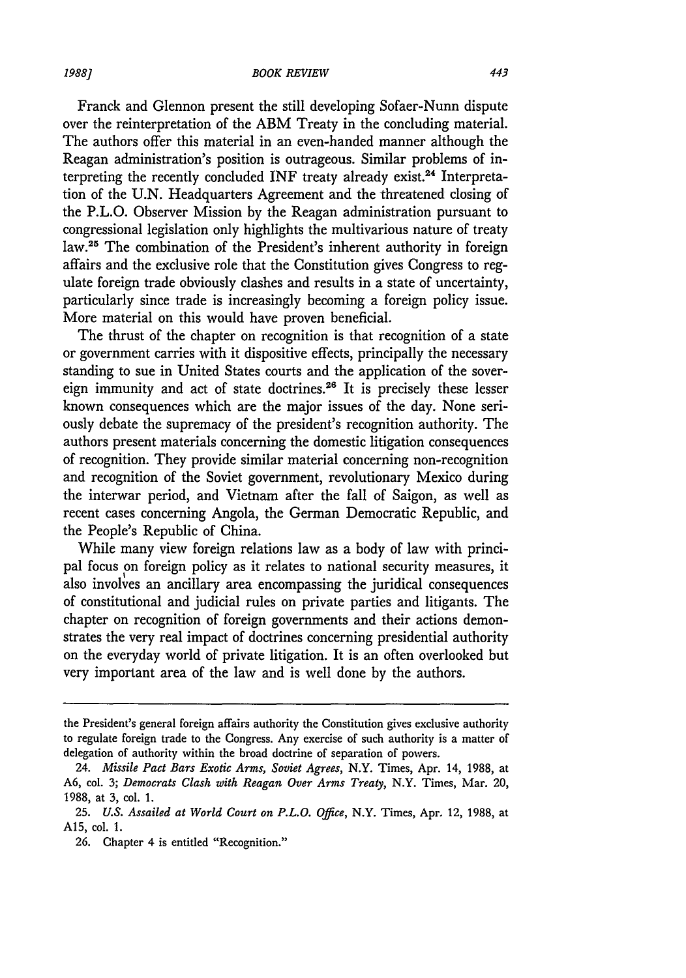#### *BOOK REVIEW*

Franck and Glennon present the still developing Sofaer-Nunn dispute over the reinterpretation of the ABM Treaty in the concluding material. The authors offer this material in an even-handed manner although the Reagan administration's position is outrageous. Similar problems of interpreting the recently concluded INF treaty already exist.<sup>24</sup> Interpretation of the U.N. Headquarters Agreement and the threatened closing of the P.L.O. Observer Mission by the Reagan administration pursuant to congressional legislation only highlights the multivarious nature of treaty law.<sup>25</sup> The combination of the President's inherent authority in foreign affairs and the exclusive role that the Constitution gives Congress to regulate foreign trade obviously clashes and results in a state of uncertainty, particularly since trade is increasingly becoming a foreign policy issue. More material on this would have proven beneficial.

The thrust of the chapter on recognition is that recognition of a state or government carries with it dispositive effects, principally the necessary standing to sue in United States courts and the application of the sovereign immunity and act of state doctrines.<sup>26</sup> It is precisely these lesser known consequences which are the major issues of the day. None seriously debate the supremacy of the president's recognition authority. The authors present materials concerning the domestic litigation consequences of recognition. They provide similar material concerning non-recognition and recognition of the Soviet government, revolutionary Mexico during the interwar period, and Vietnam after the fall of Saigon, as well as recent cases concerning Angola, the German Democratic Republic, and the People's Republic of China.

While many view foreign relations law as a body of law with principal focus on foreign policy as it relates to national security measures, it also involves an ancillary area encompassing the juridical consequences of constitutional and judicial rules on private parties and litigants. The chapter on recognition of foreign governments and their actions demonstrates the very real impact of doctrines concerning presidential authority on the everyday world of private litigation. It is an often overlooked but very important area of the law and is well done by the authors.

*1988]*

the President's general foreign affairs authority the Constitution gives exclusive authority to regulate foreign trade to the Congress. Any exercise of such authority is a matter of delegation of authority within the broad doctrine of separation of powers.

<sup>24.</sup> *Missile Pact Bars Exotic Arms, Soviet Agrees,* N.Y. Times, Apr. 14, 1988, at A6, col. 3; *Democrats Clash with Reagan Over Arms Treaty,* N.Y. Times, Mar. 20, 1988, at 3, col. 1.

<sup>25.</sup> *U.S. Assailed at World Court on P.L.O. Office,* N.Y. Times, Apr. 12, 1988, at A15, col. 1.

<sup>26.</sup> Chapter 4 is entitled "Recognition."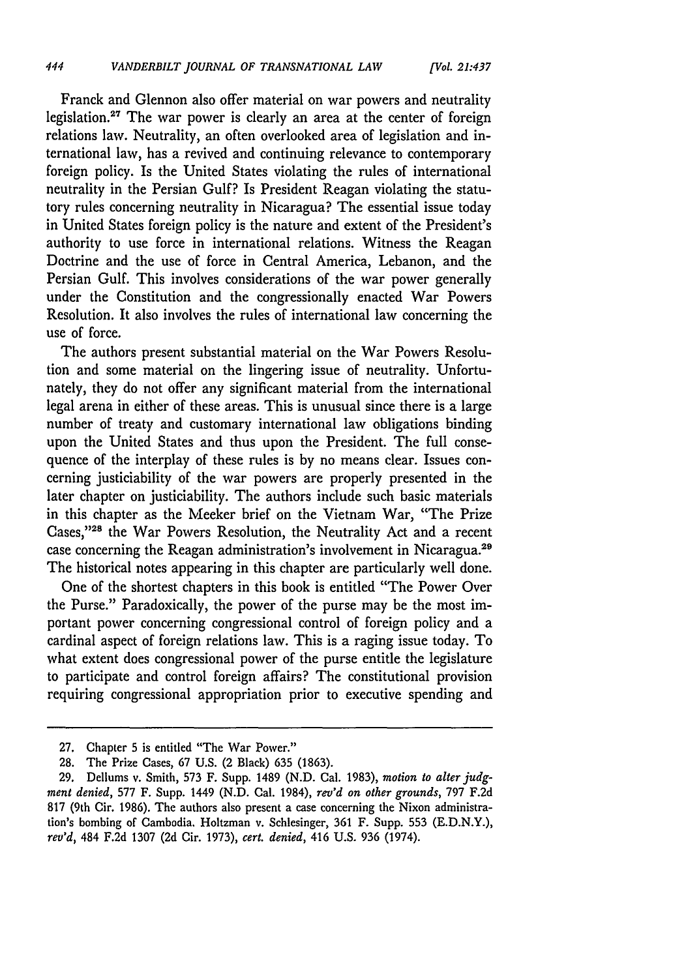Franck and Glennon also offer material on war powers and neutrality legislation.<sup>27</sup> The war power is clearly an area at the center of foreign relations law. Neutrality, an often overlooked area of legislation and international law, has a revived and continuing relevance to contemporary foreign policy. Is the United States violating the rules of international neutrality in the Persian Gulf? Is President Reagan violating the statutory rules concerning neutrality in Nicaragua? The essential issue today in United States foreign policy is the nature and extent of the President's authority to use force in international relations. Witness the Reagan Doctrine and the use of force in Central America, Lebanon, and the Persian Gulf. This involves considerations of the war power generally under the Constitution and the congressionally enacted War Powers Resolution. It also involves the rules of international law concerning the use of force.

The authors present substantial material on the War Powers Resolution and some material on the lingering issue of neutrality. Unfortunately, they do not offer any significant material from the international legal arena in either of these areas. This is unusual since there is a large number of treaty and customary international law obligations binding upon the United States and thus upon the President. The full consequence of the interplay of these rules is by no means clear. Issues concerning justiciability of the war powers are properly presented in the later chapter on justiciability. The authors include such basic materials in this chapter as the Meeker brief on the Vietnam War, "The Prize Cases,"<sup>28</sup> the War Powers Resolution, the Neutrality Act and a recent case concerning the Reagan administration's involvement in Nicaragua.29 The historical notes appearing in this chapter are particularly well done.

One of the shortest chapters in this book is entitled "The Power Over the Purse." Paradoxically, the power of the purse may be the most important power concerning congressional control of foreign policy and a cardinal aspect of foreign relations law. This is a raging issue today. To what extent does congressional power of the purse entitle the legislature to participate and control foreign affairs? The constitutional provision requiring congressional appropriation prior to executive spending and

<sup>27.</sup> Chapter 5 is entitled "The War Power."

<sup>28.</sup> The Prize Cases, 67 U.S. (2 Black) 635 (1863).

<sup>29.</sup> Dellums v. Smith, 573 F. Supp. 1489 (N.D. Cal. 1983), *motion to alter judgment denied,* 577 F. Supp. 1449 (N.D. Cal. 1984), *rev'd on other grounds,* 797 F.2d 817 (9th Cir. 1986). The authors also present a case concerning the Nixon administration's bombing of Cambodia. Holtzman v. Schlesinger, 361 F. Supp. 553 (E.D.N.Y.), *rev'd,* 484 F.2d 1307 (2d Cir. 1973), *cert. denied,* 416 U.S. 936 (1974).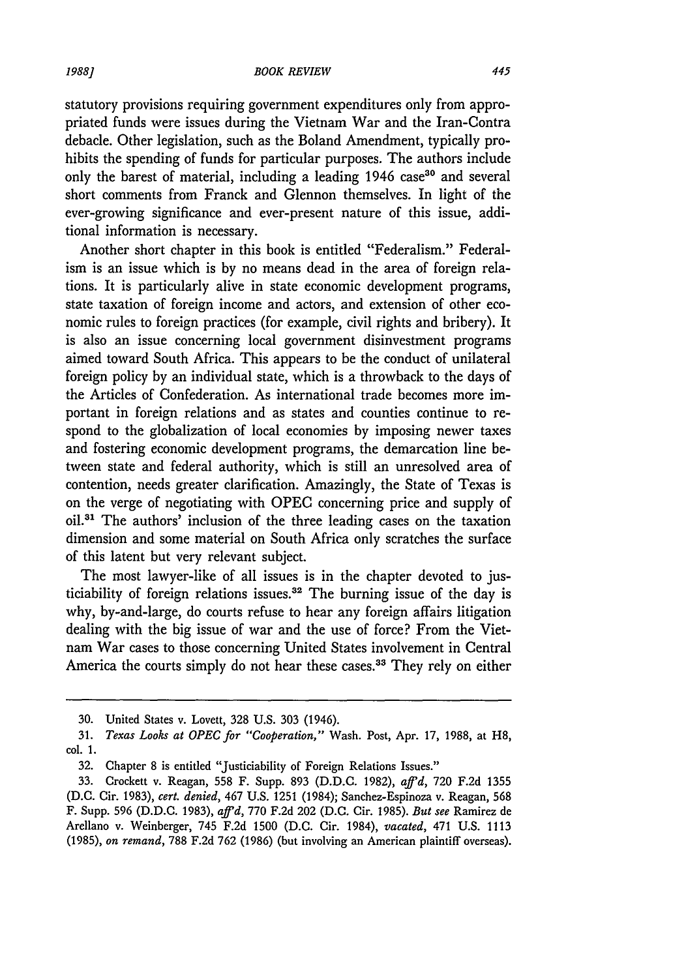statutory provisions requiring government expenditures only from appropriated funds were issues during the Vietnam War and the Iran-Contra debacle. Other legislation, such as the Boland Amendment, typically prohibits the spending of funds for particular purposes. The authors include only the barest of material, including a leading 1946 case<sup>30</sup> and several short comments from Franck and Glennon themselves. In light of the ever-growing significance and ever-present nature of this issue, additional information is necessary.

Another short chapter in this book is entitled "Federalism." Federalism is an issue which is by no means dead in the area of foreign relations. It is particularly alive in state economic development programs, state taxation of foreign income and actors, and extension of other economic rules to foreign practices (for example, civil rights and bribery). It is also an issue concerning local government disinvestment programs aimed toward South Africa. This appears to be the conduct of unilateral foreign policy by an individual state, which is a throwback to the days of the Articles of Confederation. As international trade becomes more important in foreign relations and as states and counties continue to respond to the globalization of local economies by imposing newer taxes and fostering economic development programs, the demarcation line between state and federal authority, which is still an unresolved area of contention, needs greater clarification. Amazingly, the State of Texas is on the verge of negotiating with OPEC concerning price and supply of oil.<sup>31</sup> The authors' inclusion of the three leading cases on the taxation dimension and some material on South Africa only scratches the surface of this latent but very relevant subject.

The most lawyer-like of all issues is in the chapter devoted to justiciability of foreign relations issues.<sup>32</sup> The burning issue of the day is why, by-and-large, do courts refuse to hear any foreign affairs litigation dealing with the big issue of war and the use of force? From the Vietnam War cases to those concerning United States involvement in Central America the courts simply do not hear these cases.<sup>33</sup> They rely on either

**<sup>30.</sup>** United States v. Lovett, 328 U.S. **303** (1946).

<sup>31.</sup> *Texas Looks at OPEC for "Cooperation,"* Wash. Post, Apr. 17, 1988, at H8, col. 1.

<sup>32.</sup> Chapter 8 is entitled "Justiciability of Foreign Relations Issues."

<sup>33.</sup> Crockett v. Reagan, 558 F. Supp. **893** (D.D.C. 1982), *affd,* **720** F.2d 1355 (D.C. Cir. 1983), *cert. denied,* 467 U.S. 1251 (1984); Sanchez-Espinoza v. Reagan, **568** F. Supp. **596** (D.D.C. 1983), *affid,* **770** F.2d 202 (D.C. Cir. 1985). *But see* Ramirez de Arellano v. Weinberger, 745 F.2d **1500** (D.C. Cir. 1984), *vacated,* 471 U.S. 1113 (1985), *on remand,* 788 F.2d 762 (1986) (but involving an American plaintiff overseas).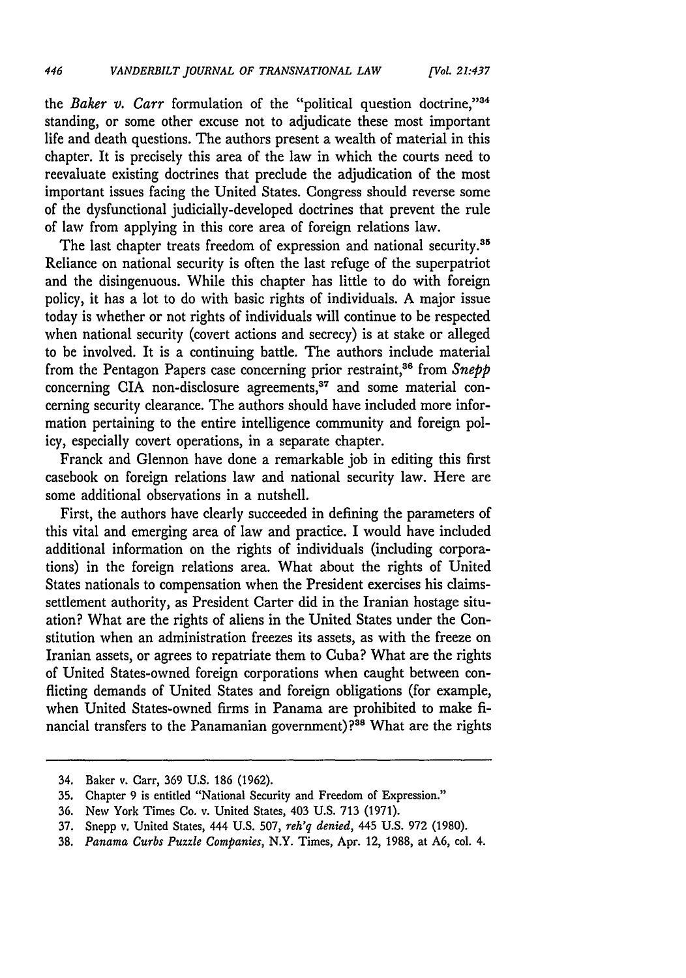the *Baker v. Carr* formulation of the "political question doctrine,"34 standing, or some other excuse not to adjudicate these most important life and death questions. The authors present a wealth of material in this chapter. It is precisely this area of the law in which the courts need to reevaluate existing doctrines that preclude the adjudication of the most important issues facing the United States. Congress should reverse some of the dysfunctional judicially-developed doctrines that prevent the rule of law from applying in this core area of foreign relations law.

The last chapter treats freedom of expression and national security.<sup>35</sup> Reliance on national security is often the last refuge of the superpatriot and the disingenuous. While this chapter has little to do with foreign policy, it has a lot to do with basic rights of individuals. **A** major issue today is whether or not rights of individuals will continue to be respected when national security (covert actions and secrecy) is at stake or alleged to **be** involved. It is a continuing battle. The authors include material from the Pentagon Papers case concerning prior restraint,<sup>36</sup> from Snepp concerning CIA non-disclosure agreements,<sup>37</sup> and some material concerning security clearance. The authors should have included more information pertaining to the entire intelligence community and foreign policy, especially covert operations, in a separate chapter.

Franck and Glennon have done a remarkable **job** in editing this first casebook on foreign relations law and national security law. Here are some additional observations in a nutshell.

First, the authors have clearly succeeded in defining the parameters of this vital and emerging area of law and practice. I would have included additional information on the rights of individuals (including corporations) in the foreign relations area. What about the rights of United States nationals to compensation when the President exercises his claimssettlement authority, as President Carter did in the Iranian hostage situation? What are the rights of aliens in the United States under the Constitution when an administration freezes its assets, as with the freeze on Iranian assets, or agrees to repatriate them to Cuba? What are the rights of United States-owned foreign corporations when caught between conflicting demands of United States and foreign obligations (for example, when United States-owned firms in Panama are prohibited to make **fi**nancial transfers to the Panamanian government)?<sup>38</sup> What are the rights

<sup>34.</sup> Baker v. Carr, **369 U.S. 186 (1962).**

**<sup>35.</sup>** Chapter **9** is entitled "National Security and Freedom of Expression."

**<sup>36.</sup>** New York Times Co. v. United States, 403 **U.S. 713 (1971).**

**<sup>37.</sup>** Snepp v. United States, 444 **U.S. 507,** *reh'q denied,* 445 **U.S. 972 (1980).**

**<sup>38.</sup>** *Panama Curbs Puzzle Companies,* N.Y. Times, Apr. 12, **1988,** at **A6,** col. 4.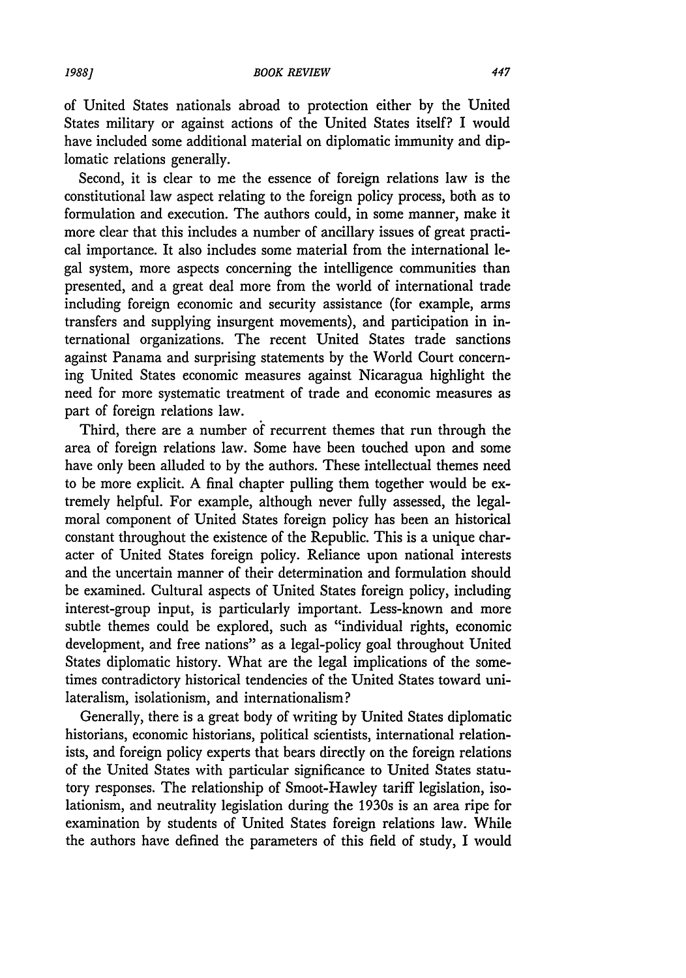of United States nationals abroad to protection either by the United States military or against actions of the United States itself? I would have included some additional material on diplomatic immunity and diplomatic relations generally.

Second, it is clear to me the essence of foreign relations law is the constitutional law aspect relating to the foreign policy process, both as to formulation and execution. The authors could, in some manner, make it more clear that this includes a number of ancillary issues of great practical importance. It also includes some material from the international legal system, more aspects concerning the intelligence communities than presented, and a great deal more from the world of international trade including foreign economic and security assistance (for example, arms transfers and supplying insurgent movements), and participation in international organizations. The recent United States trade sanctions against Panama and surprising statements by the World Court concerning United States economic measures against Nicaragua highlight the need for more systematic treatment of trade and economic measures as part of foreign relations law.

Third, there are a number of recurrent themes that run through the area of foreign relations law. Some have been touched upon and some have only been alluded to by the authors. These intellectual themes need to be more explicit. A final chapter pulling them together would be extremely helpful. For example, although never fully assessed, the legalmoral component of United States foreign policy has been an historical constant throughout the existence of the Republic. This is a unique character of United States foreign policy. Reliance upon national interests and the uncertain manner of their determination and formulation should be examined. Cultural aspects of United States foreign policy, including interest-group input, is particularly important. Less-known and more subtle themes could be explored, such as "individual rights, economic development, and free nations" as a legal-policy goal throughout United States diplomatic history. What are the legal implications of the sometimes contradictory historical tendencies of the United States toward unilateralism, isolationism, and internationalism?

Generally, there is a great body of writing by United States diplomatic historians, economic historians, political scientists, international relationists, and foreign policy experts that bears directly on the foreign relations of the United States with particular significance to United States statutory responses. The relationship of Smoot-Hawley tariff legislation, isolationism, and neutrality legislation during the 1930s is an area ripe for examination by students of United States foreign relations law. While the authors have defined the parameters of this field of study, I would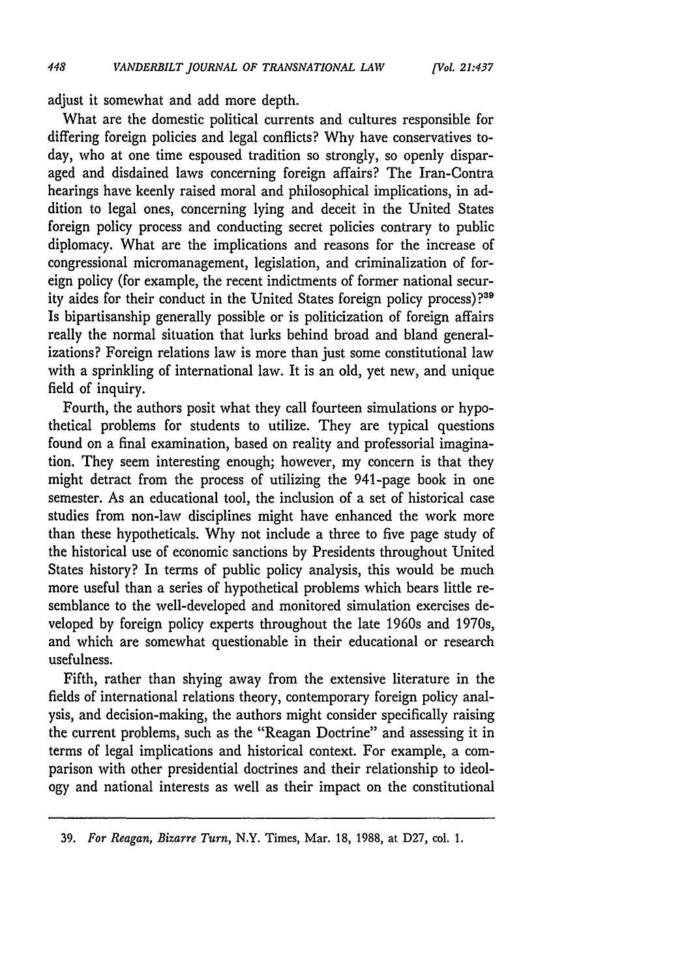adjust it somewhat and add more depth.

What are the domestic political currents and cultures responsible for differing foreign policies and legal conflicts? Why have conservatives today, who at one time espoused tradition so strongly, so openly disparaged and disdained laws concerning foreign affairs? The Iran-Contra hearings have keenly raised moral and philosophical implications, in addition to legal ones, concerning lying and deceit in the United States foreign policy process and conducting secret policies contrary to public diplomacy. What are the implications and reasons for the increase of congressional micromanagement, legislation, and criminalization of foreign policy (for example, the recent indictments of former national security aides for their conduct in the United States foreign policy process)?39 Is bipartisanship generally possible or is politicization of foreign affairs really the normal situation that lurks behind broad and bland generalizations? Foreign relations law is more than just some constitutional law with a sprinkling of international law. It is an old, yet new, and unique field of inquiry.

Fourth, the authors posit what they call fourteen simulations or hypothetical problems for students to utilize. They are typical questions found on a final examination, based on reality and professorial imagination. They seem interesting enough; however, my concern is that they might detract from the process of utilizing the 941-page book in one semester. As an educational tool, the inclusion of a set of historical case studies from non-law disciplines might have enhanced the work more than these hypotheticals. Why not include a three to five page study of the historical use of economic sanctions by Presidents throughout United States history? In terms of public policy analysis, this would be much more useful than a series of hypothetical problems which bears little resemblance to the well-developed and monitored simulation exercises developed by foreign policy experts throughout the late 1960s and 1970s, and which are somewhat questionable in their educational or research usefulness.

Fifth, rather than shying away from the extensive literature in the fields of international relations theory, contemporary foreign policy analysis, and decision-making, the authors might consider specifically raising the current problems, such as the "Reagan Doctrine" and assessing it in terms of legal implications and historical context. For example, a comparison with other presidential doctrines and their relationship to ideology and national interests as well as their impact on the constitutional

<sup>39.</sup> *For Reagan, Bizarre Turn,* N.Y. Times, Mar. 18, 1988, at D27, col. 1.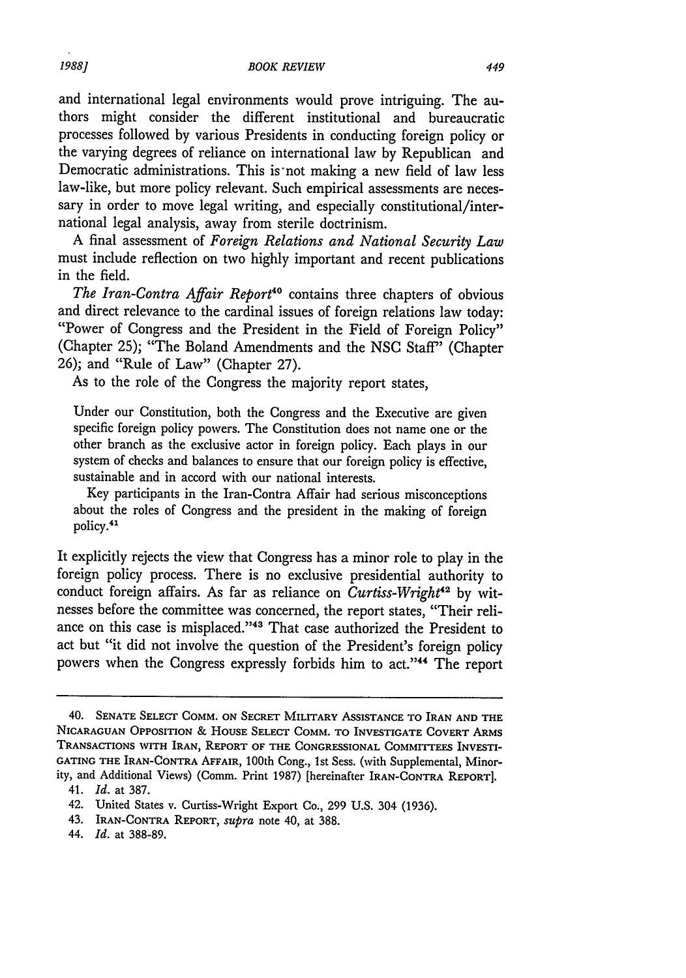and international legal environments would prove intriguing. The authors might consider the different institutional and bureaucratic processes followed by various Presidents in conducting foreign policy or the varying degrees of reliance on international law by Republican and Democratic administrations. This is not making a new field of law less law-like, but more policy relevant. Such empirical assessments are necessary in order to move legal writing, and especially constitutional/international legal analysis, away from sterile doctrinism.

A final assessment of *Foreign Relations and National Security Law* must include reflection on two highly important and recent publications in the field.

The Iran-Contra Affair Report<sup>40</sup> contains three chapters of obvious and direct relevance to the cardinal issues of foreign relations law today: "Power of Congress and the President in the Field of Foreign Policy" (Chapter 25); "The Boland Amendments and the NSC Staff" (Chapter 26); and "Rule of Law" (Chapter 27).

As to the role of the Congress the majority report states,

Under our Constitution, both the Congress and the Executive are given specific foreign policy powers. The Constitution does not name one or the other branch as the exclusive actor in foreign policy. Each plays in our system of checks and balances to ensure that our foreign policy is effective, sustainable and in accord with our national interests.

Key participants in the Iran-Contra Affair had serious misconceptions about the roles of Congress and the president in the making of foreign policy.<sup>41</sup>

It explicitly rejects the view that Congress has a minor role to play in the foreign policy process. There is no exclusive presidential authority to conduct foreign affairs. As far as reliance on *Curtiss-Wright"2* by witnesses before the committee was concerned, the report states, "Their reliance on this case is misplaced."<sup>43</sup> That case authorized the President to act but "it did not involve the question of the President's foreign policy powers when the Congress expressly forbids him to act."44 The report

<sup>40.</sup> **SENATE SELECT** COMM. **ON SECRET MILITARY** ASSISTANCE TO **IRAN AND THE NICARAGUAN OPPOSITION** *&* **HOUSE** SELECT COMM. TO INVESTIGATE COVERT ARMS **TRANSACTIONS** WITH **IRAN,** REPORT **OF THE** CONGRESSIONAL **COMMITTEES** INVESTI-**GATING THE** IRAN-CONTRA **AFFAIR,** 100th Cong., 1st Sess. (with Supplemental, Minority, and Additional Views) (Comm. Print 1987) [hereinafter IRAN-CONTRA REPORT].

<sup>41.</sup> *Id.* at 387.

<sup>42.</sup> United States v. Curtiss-Wright Export Co., 299 U.S. 304 (1936).

<sup>43.</sup> IRAN-CONTRA REPORT, *supra* note 40, at 388.

<sup>44.</sup> *Id.* at 388-89.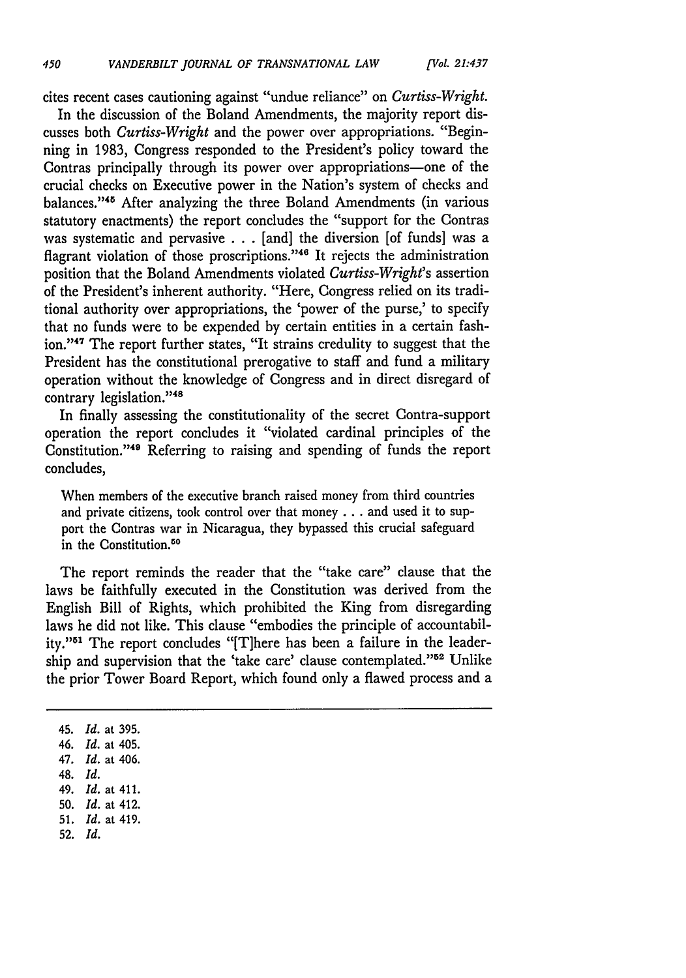cites recent cases cautioning against "undue reliance" on *Curtiss-Wright.*

In the discussion of the Boland Amendments, the majority report discusses both *Curtiss-Wright* and the power over appropriations. "Beginning in 1983, Congress responded to the President's policy toward the Contras principally through its power over appropriations-one of the crucial checks on Executive power in the Nation's system of checks and balances."<sup>45</sup> After analyzing the three Boland Amendments (in various statutory enactments) the report concludes the "support for the Contras was systematic and pervasive ...[and] the diversion [of funds] was a flagrant violation of those proscriptions."<sup>46</sup> It rejects the administration position that the Boland Amendments violated *Curtiss-Wright's* assertion of the President's inherent authority. "Here, Congress relied on its traditional authority over appropriations, the 'power of the purse,' to specify that no funds were to be expended by certain entities in a certain fashion." **' <sup>7</sup>**The report further states, "It strains credulity to suggest that the President has the constitutional prerogative to staff and fund a military operation without the knowledge of Congress and in direct disregard of contrary legislation."48

In finally assessing the constitutionality of the secret Contra-support operation the report concludes it "violated cardinal principles of the Constitution."<sup>49</sup> Referring to raising and spending of funds the report concludes,

When members of the executive branch raised money from third countries and private citizens, took control over that money **...** and used it to support the Contras war in Nicaragua, they bypassed this crucial safeguard in the Constitution.<sup>50</sup>

The report reminds the reader that the "take care" clause that the laws be faithfully executed in the Constitution was derived from the English Bill of Rights, which prohibited the King from disregarding laws he did not like. This clause "embodies the principle of accountability."51 The report concludes "[T]here has been a failure in the leadership and supervision that the 'take care' clause contemplated."<sup>52</sup> Unlike the prior Tower Board Report, which found only a flawed process and a

45. *Id.* at **395.**

- 49. *Id.* at 411.
- 50. *Id.* at 412.
- 51. *Id.* at 419. 52. *Id.*

*<sup>46.</sup> Id.* at 405.

*<sup>47.</sup> Id.* at 406.

<sup>48.</sup> *Id.*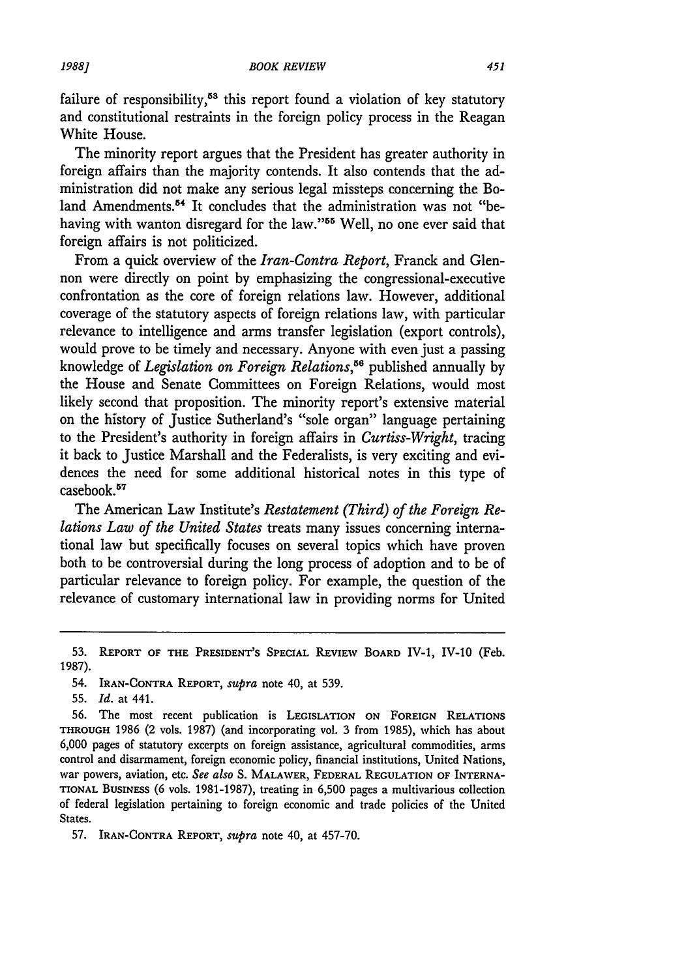failure of responsibility, $53$  this report found a violation of key statutory and constitutional restraints in the foreign policy process in the Reagan White House.

The minority report argues that the President has greater authority in foreign affairs than the majority contends. It also contends that the administration did not make any serious legal missteps concerning the Boland Amendments.<sup>54</sup> It concludes that the administration was not "behaving with wanton disregard for the *law."55* Well, no one ever said that foreign affairs is not politicized.

From a quick overview of the *Iran-Contra Report,* Franck and Glennon were directly on point by emphasizing the congressional-executive confrontation as the core of foreign relations law. However, additional coverage of the statutory aspects of foreign relations law, with particular relevance to intelligence and arms transfer legislation (export controls), would prove to be timely and necessary. Anyone with even just a passing knowledge of *Legislation on Foreign Relations*,<sup>56</sup> published annually by the House and Senate Committees on Foreign Relations, would most likely second that proposition. The minority report's extensive material on the history of Justice Sutherland's "sole organ" language pertaining to the President's authority in foreign affairs in *Curtiss-Wright,* tracing it back to Justice Marshall and the Federalists, is very exciting and evidences the need for some additional historical notes in this type of casebook.<sup>57</sup>

The American Law Institute's *Restatement (Third) of the Foreign Relations Law of the United States* treats many issues concerning international law but specifically focuses on several topics which have proven both to be controversial during the long process of adoption and to be of particular relevance to foreign policy. For example, the question of the relevance of customary international law in providing norms for United

56. The most recent publication is LEGISLATION ON FOREIGN RELATIONS THROUGH 1986 (2 vols. 1987) (and incorporating vol. 3 from 1985), which has about 6,000 pages of statutory excerpts on foreign assistance, agricultural commodities, arms control and disarmament, foreign economic policy, financial institutions, United Nations, war powers, aviation, etc. *See also* S. MALAWER, FEDERAL REGULATION OF INTERNA-TIONAL BUSINESS (6 vols. 1981-1987), treating in 6,500 pages a multivarious collection of federal legislation pertaining to foreign economic and trade policies of the United States.

**57.** IRAN-CONTRA REPORT, supra note 40, at 457-70.

**<sup>53.</sup>** REPORT OF THE PRESIDENT'S **SPECIAL** REVIEW BOARD IV-1, IV-10 (Feb. 1987).

<sup>54.</sup> IRAN-CONTRA REPORT, *supra* note 40, at 539.

<sup>55.</sup> *Id.* at 441.